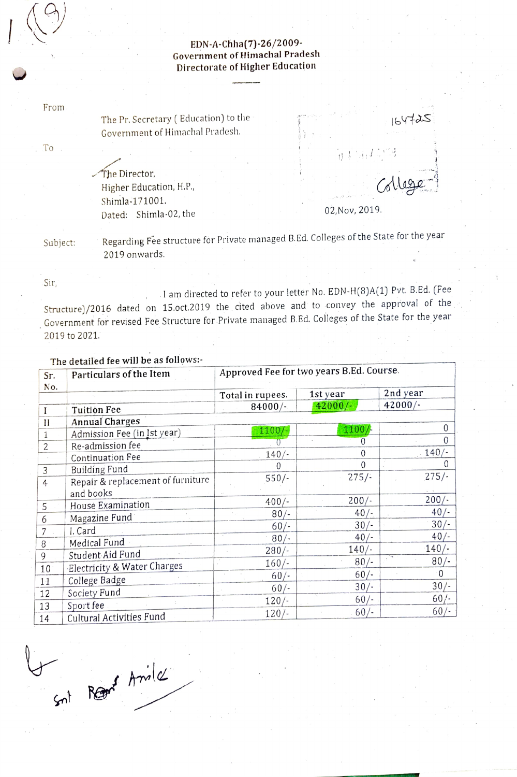## EDN-A-Chha(7)-26/2009- Government of Himachal Pradesh Directorate of Higher Education

From

 $1(9)$ 

The Pr. Secretary ( Education) to the Government of Himachal Pradesh.

To

The Director, Higher Education, H.P.,<br>Shimla-171001.<br>Dated: Shimla-02 the 02, Nov, 2019. Dated: Shimla-02, the

 $0<sup>1</sup>$  M

 $164725$ 

Subject:

Regarding Fee structure for Private managed B.Ed. Colleges of the State for the year 2019 onwards

Sir,

.I am directed to refer to your letter No. EDN-H(8)A(1) Pvt. B.Ed. (Fee Structure)/2016 dated on 15.oct.2019 the cited above and to convey the approval of the Government for revised Fee Structure for Private managed B.Ed. Colleges of the State for the year 2019 to 2021.

| Sr.            | Particulars of the Item               | Approved Fee for two years B.Ed. Course. |           |           |  |
|----------------|---------------------------------------|------------------------------------------|-----------|-----------|--|
| No.            |                                       | Total in rupees.                         | 1st year  | 2nd year  |  |
|                | Tuition Fee                           | $84000/-$                                | $42000/-$ | $42000/-$ |  |
| $\mathbf{I}$   | <b>Annual Charges</b>                 |                                          |           |           |  |
| 1              | Admission Fee (in Ist year)           | $1100/-$                                 | 1100/     | 0         |  |
| $\overline{c}$ | Re-admission fee                      |                                          | 0         | 0         |  |
|                | Continuation Fee                      | $140/-$                                  | 0         | $140/-$   |  |
| 3              | Building Fund                         |                                          | $\Omega$  | 0         |  |
| 4              | Repair & replacement of furniture     | $550/-$                                  | $275/-.$  | $275/-$   |  |
|                | and books                             |                                          |           |           |  |
| 5              | House Examination                     | $400/-$                                  | $200/-$   | $200/-$   |  |
| 6              | Magazine Fund                         | 80/                                      | $40/-$    | $40/-$    |  |
| $\overline{7}$ | I. Card                               | $60/-$                                   | $30/-$    | 30/       |  |
| 8              | Medical Fund                          | $80/-$                                   | $40/-$    | $40/-$    |  |
| 9              | Student Aid Fund                      | $280/-$                                  | $140/-$   | $140/-$   |  |
| 10             | Electricity & Water Charges           | $160/-$                                  | $80/-$    | $80/-$    |  |
| 11             | College Badge                         | $60/-$                                   | $60/-$    | $\Omega$  |  |
|                | Society Fund                          | $60/-$                                   | $30/-$    | $30/-$    |  |
| 12             |                                       | $120/-$                                  | $60/-$    | $60/-$    |  |
| 13<br>14       | Sport fee<br>Cultural Activities Fund | $120/-$                                  | $60/-$    | $60/-$    |  |

## The detailed fee will be as follows:

Snt Rears Aniles